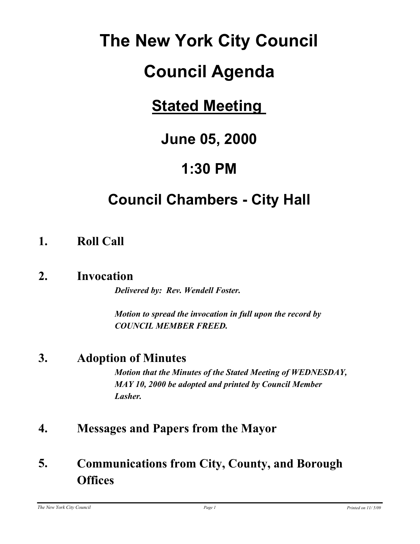# **The New York City Council**

# **Council Agenda**

# **Stated Meeting**

# **June 05, 2000**

# **1:30 PM**

# **Council Chambers - City Hall**

### **1. Roll Call**

### **2. Invocation**

*Delivered by: Rev. Wendell Foster.*

*Motion to spread the invocation in full upon the record by COUNCIL MEMBER FREED.*

### **3. Adoption of Minutes**

*Motion that the Minutes of the Stated Meeting of WEDNESDAY, MAY 10, 2000 be adopted and printed by Council Member Lasher.*

### **4. Messages and Papers from the Mayor**

#### **Communications from City, County, and Borough Offices 5.**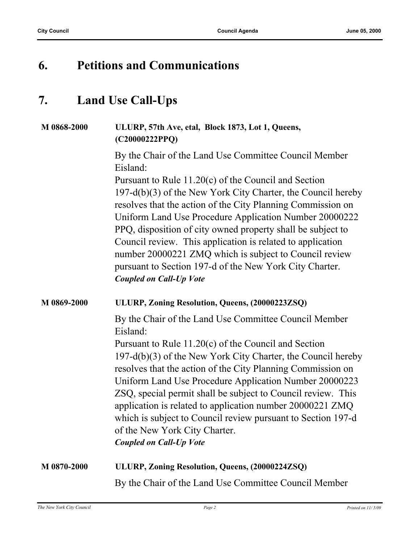### **6. Petitions and Communications**

### **7. Land Use Call-Ups**

### **M 0868-2000 ULURP, 57th Ave, etal, Block 1873, Lot 1, Queens, (C20000222PPQ)**

By the Chair of the Land Use Committee Council Member Eisland:

Pursuant to Rule 11.20(c) of the Council and Section 197-d(b)(3) of the New York City Charter, the Council hereby resolves that the action of the City Planning Commission on Uniform Land Use Procedure Application Number 20000222 PPQ, disposition of city owned property shall be subject to Council review. This application is related to application number 20000221 ZMQ which is subject to Council review pursuant to Section 197-d of the New York City Charter. *Coupled on Call-Up Vote*

#### **M 0869-2000 ULURP, Zoning Resolution, Queens, (20000223ZSQ)**

By the Chair of the Land Use Committee Council Member Eisland:

Pursuant to Rule 11.20(c) of the Council and Section 197-d(b)(3) of the New York City Charter, the Council hereby resolves that the action of the City Planning Commission on Uniform Land Use Procedure Application Number 20000223 ZSQ, special permit shall be subject to Council review. This application is related to application number 20000221 ZMQ which is subject to Council review pursuant to Section 197-d of the New York City Charter. *Coupled on Call-Up Vote*

#### **M 0870-2000 ULURP, Zoning Resolution, Queens, (20000224ZSQ)**

By the Chair of the Land Use Committee Council Member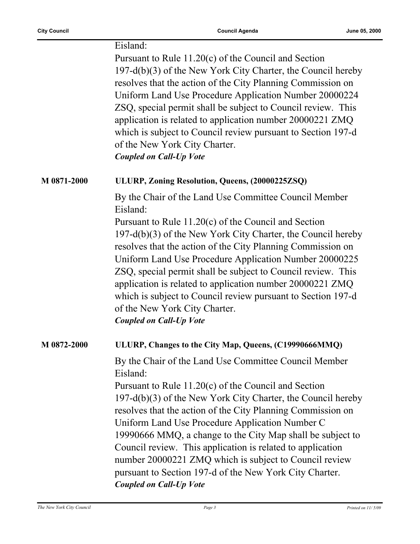|             | Eisland:<br>Pursuant to Rule $11.20(c)$ of the Council and Section<br>$197-d(b)(3)$ of the New York City Charter, the Council hereby<br>resolves that the action of the City Planning Commission on<br>Uniform Land Use Procedure Application Number 20000224<br>ZSQ, special permit shall be subject to Council review. This<br>application is related to application number 20000221 ZMQ<br>which is subject to Council review pursuant to Section 197-d<br>of the New York City Charter.<br><b>Coupled on Call-Up Vote</b>                                                                  |
|-------------|------------------------------------------------------------------------------------------------------------------------------------------------------------------------------------------------------------------------------------------------------------------------------------------------------------------------------------------------------------------------------------------------------------------------------------------------------------------------------------------------------------------------------------------------------------------------------------------------|
| M 0871-2000 | ULURP, Zoning Resolution, Queens, (20000225ZSQ)                                                                                                                                                                                                                                                                                                                                                                                                                                                                                                                                                |
|             | By the Chair of the Land Use Committee Council Member<br>Eisland:<br>Pursuant to Rule $11.20(c)$ of the Council and Section<br>$197-d(b)(3)$ of the New York City Charter, the Council hereby<br>resolves that the action of the City Planning Commission on<br>Uniform Land Use Procedure Application Number 20000225<br>ZSQ, special permit shall be subject to Council review. This<br>application is related to application number 20000221 ZMQ<br>which is subject to Council review pursuant to Section 197-d<br>of the New York City Charter.<br><b>Coupled on Call-Up Vote</b>         |
| M 0872-2000 | ULURP, Changes to the City Map, Queens, (C19990666MMQ)                                                                                                                                                                                                                                                                                                                                                                                                                                                                                                                                         |
|             | By the Chair of the Land Use Committee Council Member<br>Eisland:<br>Pursuant to Rule 11.20(c) of the Council and Section<br>197-d(b)(3) of the New York City Charter, the Council hereby<br>resolves that the action of the City Planning Commission on<br>Uniform Land Use Procedure Application Number C<br>19990666 MMQ, a change to the City Map shall be subject to<br>Council review. This application is related to application<br>number 20000221 ZMQ which is subject to Council review<br>pursuant to Section 197-d of the New York City Charter.<br><b>Coupled on Call-Up Vote</b> |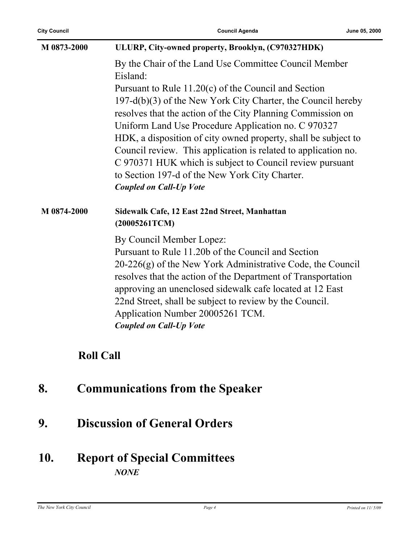| M 0873-2000 | ULURP, City-owned property, Brooklyn, (C970327HDK)                                                                                                                                                                                                                                      |  |  |
|-------------|-----------------------------------------------------------------------------------------------------------------------------------------------------------------------------------------------------------------------------------------------------------------------------------------|--|--|
|             | By the Chair of the Land Use Committee Council Member<br>Eisland:                                                                                                                                                                                                                       |  |  |
|             | Pursuant to Rule $11.20(c)$ of the Council and Section                                                                                                                                                                                                                                  |  |  |
|             | $197-d(b)(3)$ of the New York City Charter, the Council hereby                                                                                                                                                                                                                          |  |  |
|             | resolves that the action of the City Planning Commission on                                                                                                                                                                                                                             |  |  |
|             | Uniform Land Use Procedure Application no. C 970327                                                                                                                                                                                                                                     |  |  |
|             | HDK, a disposition of city owned property, shall be subject to                                                                                                                                                                                                                          |  |  |
|             | Council review. This application is related to application no.                                                                                                                                                                                                                          |  |  |
|             | C 970371 HUK which is subject to Council review pursuant                                                                                                                                                                                                                                |  |  |
|             | to Section 197-d of the New York City Charter.                                                                                                                                                                                                                                          |  |  |
|             | <b>Coupled on Call-Up Vote</b>                                                                                                                                                                                                                                                          |  |  |
| M 0874-2000 | Sidewalk Cafe, 12 East 22nd Street, Manhattan                                                                                                                                                                                                                                           |  |  |
|             | (20005261TCM)                                                                                                                                                                                                                                                                           |  |  |
|             | By Council Member Lopez:                                                                                                                                                                                                                                                                |  |  |
|             | Pursuant to Rule 11.20b of the Council and Section                                                                                                                                                                                                                                      |  |  |
|             | $20-226(g)$ of the New York Administrative Code, the Council<br>resolves that the action of the Department of Transportation<br>approving an unenclosed sidewalk cafe located at 12 East<br>22nd Street, shall be subject to review by the Council.<br>Application Number 20005261 TCM. |  |  |

### **Roll Call**

- **8. Communications from the Speaker**
- **9. Discussion of General Orders**

### **10. Report of Special Committees** *NONE*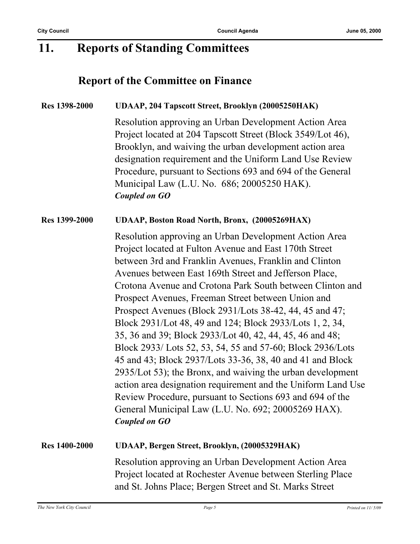### **11. Reports of Standing Committees**

### **Report of the Committee on Finance**

#### **Res 1398-2000 UDAAP, 204 Tapscott Street, Brooklyn (20005250HAK)**

Resolution approving an Urban Development Action Area Project located at 204 Tapscott Street (Block 3549/Lot 46), Brooklyn, and waiving the urban development action area designation requirement and the Uniform Land Use Review Procedure, pursuant to Sections 693 and 694 of the General Municipal Law (L.U. No. 686; 20005250 HAK). *Coupled on GO*

#### **Res 1399-2000 UDAAP, Boston Road North, Bronx, (20005269HAX)**

Resolution approving an Urban Development Action Area Project located at Fulton Avenue and East 170th Street between 3rd and Franklin Avenues, Franklin and Clinton Avenues between East 169th Street and Jefferson Place, Crotona Avenue and Crotona Park South between Clinton and Prospect Avenues, Freeman Street between Union and Prospect Avenues (Block 2931/Lots 38-42, 44, 45 and 47; Block 2931/Lot 48, 49 and 124; Block 2933/Lots 1, 2, 34, 35, 36 and 39; Block 2933/Lot 40, 42, 44, 45, 46 and 48; Block 2933/ Lots 52, 53, 54, 55 and 57-60; Block 2936/Lots 45 and 43; Block 2937/Lots 33-36, 38, 40 and 41 and Block 2935/Lot 53); the Bronx, and waiving the urban development action area designation requirement and the Uniform Land Use Review Procedure, pursuant to Sections 693 and 694 of the General Municipal Law (L.U. No. 692; 20005269 HAX). *Coupled on GO*

### **Res 1400-2000 UDAAP, Bergen Street, Brooklyn, (20005329HAK)**

Resolution approving an Urban Development Action Area Project located at Rochester Avenue between Sterling Place and St. Johns Place; Bergen Street and St. Marks Street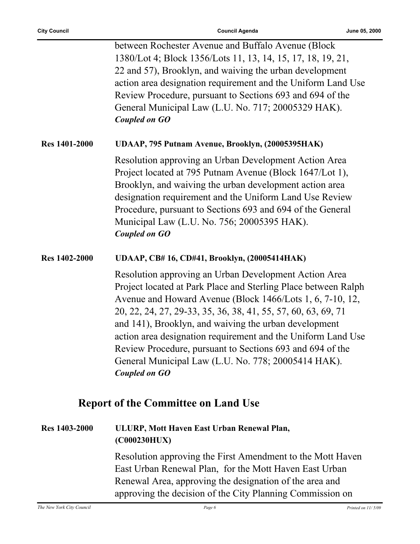|                      | between Rochester Avenue and Buffalo Avenue (Block                                                                                                                                                                                                                                                                                                                                                                                                                                                                         |
|----------------------|----------------------------------------------------------------------------------------------------------------------------------------------------------------------------------------------------------------------------------------------------------------------------------------------------------------------------------------------------------------------------------------------------------------------------------------------------------------------------------------------------------------------------|
|                      | 1380/Lot 4; Block 1356/Lots 11, 13, 14, 15, 17, 18, 19, 21,                                                                                                                                                                                                                                                                                                                                                                                                                                                                |
|                      | 22 and 57), Brooklyn, and waiving the urban development                                                                                                                                                                                                                                                                                                                                                                                                                                                                    |
|                      | action area designation requirement and the Uniform Land Use                                                                                                                                                                                                                                                                                                                                                                                                                                                               |
|                      | Review Procedure, pursuant to Sections 693 and 694 of the                                                                                                                                                                                                                                                                                                                                                                                                                                                                  |
|                      | General Municipal Law (L.U. No. 717; 20005329 HAK).                                                                                                                                                                                                                                                                                                                                                                                                                                                                        |
|                      | <b>Coupled on GO</b>                                                                                                                                                                                                                                                                                                                                                                                                                                                                                                       |
| <b>Res 1401-2000</b> | UDAAP, 795 Putnam Avenue, Brooklyn, (20005395HAK)                                                                                                                                                                                                                                                                                                                                                                                                                                                                          |
|                      | Resolution approving an Urban Development Action Area<br>Project located at 795 Putnam Avenue (Block 1647/Lot 1),<br>Brooklyn, and waiving the urban development action area<br>designation requirement and the Uniform Land Use Review<br>Procedure, pursuant to Sections 693 and 694 of the General<br>Municipal Law (L.U. No. 756; 20005395 HAK).<br><b>Coupled on GO</b>                                                                                                                                               |
| <b>Res</b> 1402-2000 | UDAAP, CB# 16, CD#41, Brooklyn, (20005414HAK)                                                                                                                                                                                                                                                                                                                                                                                                                                                                              |
|                      | Resolution approving an Urban Development Action Area<br>Project located at Park Place and Sterling Place between Ralph<br>Avenue and Howard Avenue (Block 1466/Lots 1, 6, 7-10, 12,<br>20, 22, 24, 27, 29-33, 35, 36, 38, 41, 55, 57, 60, 63, 69, 71<br>and 141), Brooklyn, and waiving the urban development<br>action area designation requirement and the Uniform Land Use<br>Review Procedure, pursuant to Sections 693 and 694 of the<br>General Municipal Law (L.U. No. 778; 20005414 HAK).<br><b>Coupled on GO</b> |
|                      | <b>Report of the Committee on Land Use</b>                                                                                                                                                                                                                                                                                                                                                                                                                                                                                 |
| <b>Res</b> 1403-2000 | ULURP, Mott Haven East Urban Renewal Plan,<br>(C000230HUX)                                                                                                                                                                                                                                                                                                                                                                                                                                                                 |
|                      | Resolution approving the First Amendment to the Mott Haven                                                                                                                                                                                                                                                                                                                                                                                                                                                                 |

East Urban Renewal Plan, for the Mott Haven East Urban Renewal Area, approving the designation of the area and approving the decision of the City Planning Commission on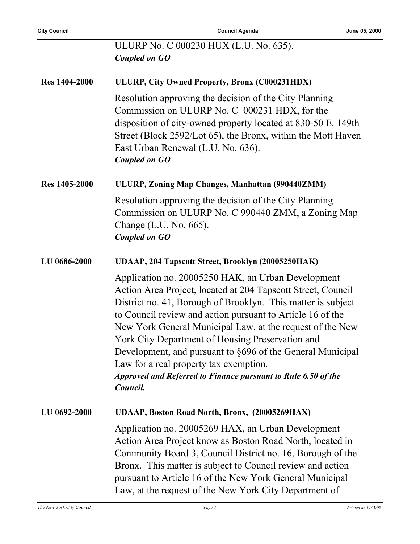|                      | ULURP No. C 000230 HUX (L.U. No. 635).<br>Coupled on GO                                                                                                                                                                                                                                                                                                                                                                                                                                                                                                |
|----------------------|--------------------------------------------------------------------------------------------------------------------------------------------------------------------------------------------------------------------------------------------------------------------------------------------------------------------------------------------------------------------------------------------------------------------------------------------------------------------------------------------------------------------------------------------------------|
| <b>Res 1404-2000</b> | ULURP, City Owned Property, Bronx (C000231HDX)                                                                                                                                                                                                                                                                                                                                                                                                                                                                                                         |
|                      | Resolution approving the decision of the City Planning<br>Commission on ULURP No. C 000231 HDX, for the<br>disposition of city-owned property located at 830-50 E. 149th<br>Street (Block 2592/Lot 65), the Bronx, within the Mott Haven<br>East Urban Renewal (L.U. No. 636).<br><b>Coupled on GO</b>                                                                                                                                                                                                                                                 |
| <b>Res</b> 1405-2000 | ULURP, Zoning Map Changes, Manhattan (990440ZMM)                                                                                                                                                                                                                                                                                                                                                                                                                                                                                                       |
|                      | Resolution approving the decision of the City Planning<br>Commission on ULURP No. C 990440 ZMM, a Zoning Map<br>Change (L.U. No. 665).<br><b>Coupled on GO</b>                                                                                                                                                                                                                                                                                                                                                                                         |
| LU 0686-2000         | UDAAP, 204 Tapscott Street, Brooklyn (20005250HAK)                                                                                                                                                                                                                                                                                                                                                                                                                                                                                                     |
|                      | Application no. 20005250 HAK, an Urban Development<br>Action Area Project, located at 204 Tapscott Street, Council<br>District no. 41, Borough of Brooklyn. This matter is subject<br>to Council review and action pursuant to Article 16 of the<br>New York General Municipal Law, at the request of the New<br>York City Department of Housing Preservation and<br>Development, and pursuant to §696 of the General Municipal<br>Law for a real property tax exemption.<br>Approved and Referred to Finance pursuant to Rule 6.50 of the<br>Council. |
| LU 0692-2000         | UDAAP, Boston Road North, Bronx, (20005269HAX)                                                                                                                                                                                                                                                                                                                                                                                                                                                                                                         |
|                      | Application no. 20005269 HAX, an Urban Development<br>Action Area Project know as Boston Road North, located in<br>Community Board 3, Council District no. 16, Borough of the<br>Bronx. This matter is subject to Council review and action<br>pursuant to Article 16 of the New York General Municipal<br>Law, at the request of the New York City Department of                                                                                                                                                                                      |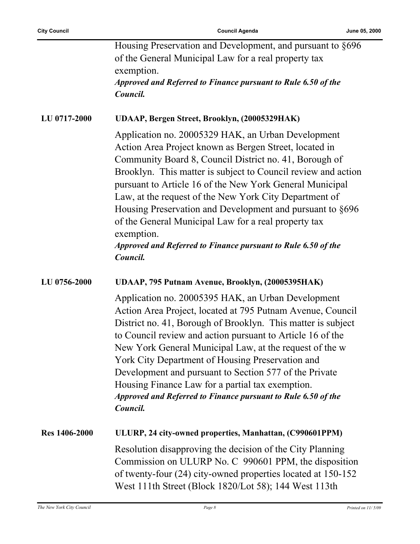|                      | Housing Preservation and Development, and pursuant to §696<br>of the General Municipal Law for a real property tax<br>exemption.<br>Approved and Referred to Finance pursuant to Rule 6.50 of the                                                                                                                                                                                                                                                                                                                                                                             |
|----------------------|-------------------------------------------------------------------------------------------------------------------------------------------------------------------------------------------------------------------------------------------------------------------------------------------------------------------------------------------------------------------------------------------------------------------------------------------------------------------------------------------------------------------------------------------------------------------------------|
|                      | Council.                                                                                                                                                                                                                                                                                                                                                                                                                                                                                                                                                                      |
| <b>LU 0717-2000</b>  | UDAAP, Bergen Street, Brooklyn, (20005329HAK)                                                                                                                                                                                                                                                                                                                                                                                                                                                                                                                                 |
|                      | Application no. 20005329 HAK, an Urban Development<br>Action Area Project known as Bergen Street, located in<br>Community Board 8, Council District no. 41, Borough of<br>Brooklyn. This matter is subject to Council review and action<br>pursuant to Article 16 of the New York General Municipal<br>Law, at the request of the New York City Department of<br>Housing Preservation and Development and pursuant to §696<br>of the General Municipal Law for a real property tax<br>exemption.<br>Approved and Referred to Finance pursuant to Rule 6.50 of the<br>Council. |
| LU 0756-2000         | UDAAP, 795 Putnam Avenue, Brooklyn, (20005395HAK)                                                                                                                                                                                                                                                                                                                                                                                                                                                                                                                             |
|                      | Application no. 20005395 HAK, an Urban Development<br>Action Area Project, located at 795 Putnam Avenue, Council<br>District no. 41, Borough of Brooklyn. This matter is subject<br>to Council review and action pursuant to Article 16 of the<br>New York General Municipal Law, at the request of the w<br>York City Department of Housing Preservation and<br>Development and pursuant to Section 577 of the Private<br>Housing Finance Law for a partial tax exemption.<br>Approved and Referred to Finance pursuant to Rule 6.50 of the<br>Council.                      |
| <b>Res 1406-2000</b> | ULURP, 24 city-owned properties, Manhattan, (C990601PPM)                                                                                                                                                                                                                                                                                                                                                                                                                                                                                                                      |
|                      | Resolution disapproving the decision of the City Planning<br>Commission on ULURP No. C 990601 PPM, the disposition<br>of twenty-four (24) city-owned properties located at 150-152<br>West 111th Street (Block 1820/Lot 58); 144 West 113th                                                                                                                                                                                                                                                                                                                                   |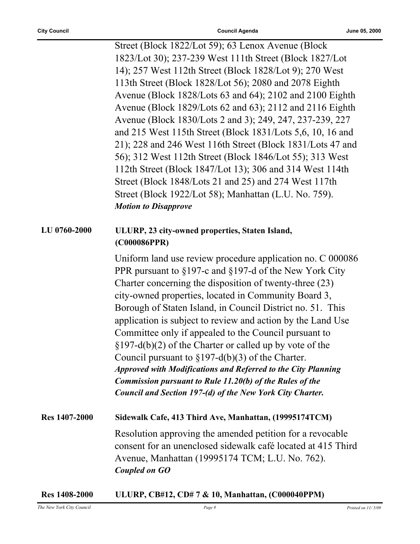Street (Block 1822/Lot 59); 63 Lenox Avenue (Block 1823/Lot 30); 237-239 West 111th Street (Block 1827/Lot 14); 257 West 112th Street (Block 1828/Lot 9); 270 West 113th Street (Block 1828/Lot 56); 2080 and 2078 Eighth Avenue (Block 1828/Lots 63 and 64); 2102 and 2100 Eighth Avenue (Block 1829/Lots 62 and 63); 2112 and 2116 Eighth Avenue (Block 1830/Lots 2 and 3); 249, 247, 237-239, 227 and 215 West 115th Street (Block 1831/Lots 5,6, 10, 16 and 21); 228 and 246 West 116th Street (Block 1831/Lots 47 and 56); 312 West 112th Street (Block 1846/Lot 55); 313 West 112th Street (Block 1847/Lot 13); 306 and 314 West 114th Street (Block 1848/Lots 21 and 25) and 274 West 117th Street (Block 1922/Lot 58); Manhattan (L.U. No. 759). *Motion to Disapprove*

#### **LU 0760-2000 ULURP, 23 city-owned properties, Staten Island, (C000086PPR)**

Uniform land use review procedure application no. C 000086 PPR pursuant to §197-c and §197-d of the New York City Charter concerning the disposition of twenty-three (23) city-owned properties, located in Community Board 3, Borough of Staten Island, in Council District no. 51. This application is subject to review and action by the Land Use Committee only if appealed to the Council pursuant to §197-d(b)(2) of the Charter or called up by vote of the Council pursuant to §197-d(b)(3) of the Charter. *Approved with Modifications and Referred to the City Planning Commission pursuant to Rule 11.20(b) of the Rules of the Council and Section 197-(d) of the New York City Charter.*

**Res 1407-2000 Sidewalk Cafe, 413 Third Ave, Manhattan, (19995174TCM)** Resolution approving the amended petition for a revocable consent for an unenclosed sidewalk café located at 415 Third Avenue, Manhattan (19995174 TCM; L.U. No. 762). *Coupled on GO*

| <b>Res</b> 1408-2000 |  |  | ULURP, CB#12, CD#7 & 10, Manhattan, (C000040PPM) |
|----------------------|--|--|--------------------------------------------------|
|----------------------|--|--|--------------------------------------------------|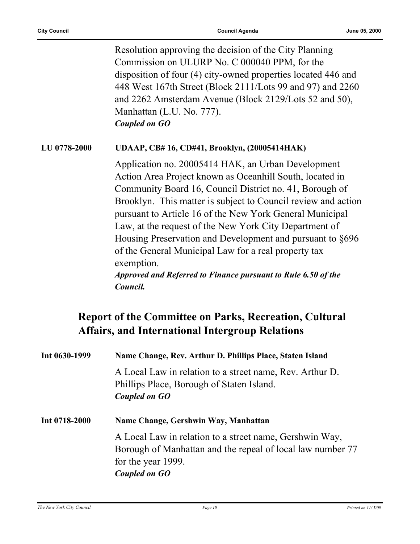Resolution approving the decision of the City Planning Commission on ULURP No. C 000040 PPM, for the disposition of four (4) city-owned properties located 446 and 448 West 167th Street (Block 2111/Lots 99 and 97) and 2260 and 2262 Amsterdam Avenue (Block 2129/Lots 52 and 50), Manhattan (L.U. No. 777). *Coupled on GO*

#### **LU 0778-2000 UDAAP, CB# 16, CD#41, Brooklyn, (20005414HAK)**

Application no. 20005414 HAK, an Urban Development Action Area Project known as Oceanhill South, located in Community Board 16, Council District no. 41, Borough of Brooklyn. This matter is subject to Council review and action pursuant to Article 16 of the New York General Municipal Law, at the request of the New York City Department of Housing Preservation and Development and pursuant to §696 of the General Municipal Law for a real property tax exemption.

*Approved and Referred to Finance pursuant to Rule 6.50 of the Council.*

### **Report of the Committee on Parks, Recreation, Cultural Affairs, and International Intergroup Relations**

| Int 0630-1999 | Name Change, Rev. Arthur D. Phillips Place, Staten Island                                                                                                    |
|---------------|--------------------------------------------------------------------------------------------------------------------------------------------------------------|
|               | A Local Law in relation to a street name, Rev. Arthur D.<br>Phillips Place, Borough of Staten Island.<br>Coupled on GO                                       |
| Int 0718-2000 | Name Change, Gershwin Way, Manhattan                                                                                                                         |
|               | A Local Law in relation to a street name, Gershwin Way,<br>Borough of Manhattan and the repeal of local law number 77<br>for the year 1999.<br>Coupled on GO |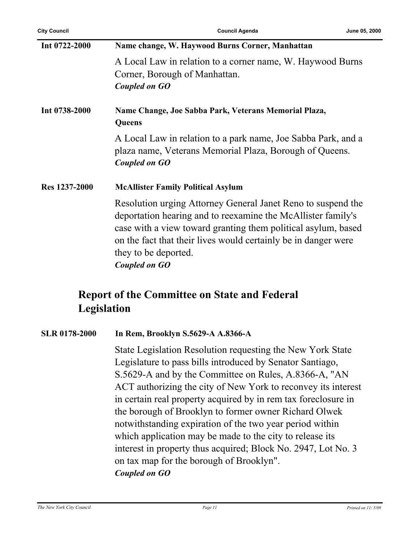| Int 0722-2000 | Name change, W. Haywood Burns Corner, Manhattan                                                                                                                                                                                                                                                                 |  |
|---------------|-----------------------------------------------------------------------------------------------------------------------------------------------------------------------------------------------------------------------------------------------------------------------------------------------------------------|--|
|               | A Local Law in relation to a corner name, W. Haywood Burns<br>Corner, Borough of Manhattan.<br>Coupled on GO                                                                                                                                                                                                    |  |
| Int 0738-2000 | Name Change, Joe Sabba Park, Veterans Memorial Plaza,<br>Queens                                                                                                                                                                                                                                                 |  |
|               | A Local Law in relation to a park name, Joe Sabba Park, and a<br>plaza name, Veterans Memorial Plaza, Borough of Queens.<br>Coupled on GO                                                                                                                                                                       |  |
| Res 1237-2000 | <b>McAllister Family Political Asylum</b>                                                                                                                                                                                                                                                                       |  |
|               | Resolution urging Attorney General Janet Reno to suspend the<br>deportation hearing and to reexamine the McAllister family's<br>case with a view toward granting them political asylum, based<br>on the fact that their lives would certainly be in danger were<br>they to be deported.<br><b>Coupled on GO</b> |  |

### **Report of the Committee on State and Federal Legislation**

#### **SLR 0178-2000 In Rem, Brooklyn S.5629-A A.8366-A**

State Legislation Resolution requesting the New York State Legislature to pass bills introduced by Senator Santiago, S.5629-A and by the Committee on Rules, A.8366-A, "AN ACT authorizing the city of New York to reconvey its interest in certain real property acquired by in rem tax foreclosure in the borough of Brooklyn to former owner Richard Olwek notwithstanding expiration of the two year period within which application may be made to the city to release its interest in property thus acquired; Block No. 2947, Lot No. 3 on tax map for the borough of Brooklyn". *Coupled on GO*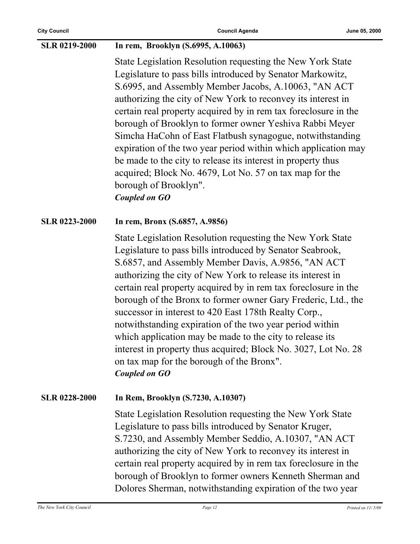#### **SLR 0219-2000 In rem, Brooklyn (S.6995, A.10063)**

State Legislation Resolution requesting the New York State Legislature to pass bills introduced by Senator Markowitz, S.6995, and Assembly Member Jacobs, A.10063, "AN ACT authorizing the city of New York to reconvey its interest in certain real property acquired by in rem tax foreclosure in the borough of Brooklyn to former owner Yeshiva Rabbi Meyer Simcha HaCohn of East Flatbush synagogue, notwithstanding expiration of the two year period within which application may be made to the city to release its interest in property thus acquired; Block No. 4679, Lot No. 57 on tax map for the borough of Brooklyn". *Coupled on GO*

#### **SLR 0223-2000 In rem, Bronx (S.6857, A.9856)**

State Legislation Resolution requesting the New York State Legislature to pass bills introduced by Senator Seabrook, S.6857, and Assembly Member Davis, A.9856, "AN ACT authorizing the city of New York to release its interest in certain real property acquired by in rem tax foreclosure in the borough of the Bronx to former owner Gary Frederic, Ltd., the successor in interest to 420 East 178th Realty Corp., notwithstanding expiration of the two year period within which application may be made to the city to release its interest in property thus acquired; Block No. 3027, Lot No. 28 on tax map for the borough of the Bronx". *Coupled on GO*

#### **SLR 0228-2000 In Rem, Brooklyn (S.7230, A.10307)**

State Legislation Resolution requesting the New York State Legislature to pass bills introduced by Senator Kruger, S.7230, and Assembly Member Seddio, A.10307, "AN ACT authorizing the city of New York to reconvey its interest in certain real property acquired by in rem tax foreclosure in the borough of Brooklyn to former owners Kenneth Sherman and Dolores Sherman, notwithstanding expiration of the two year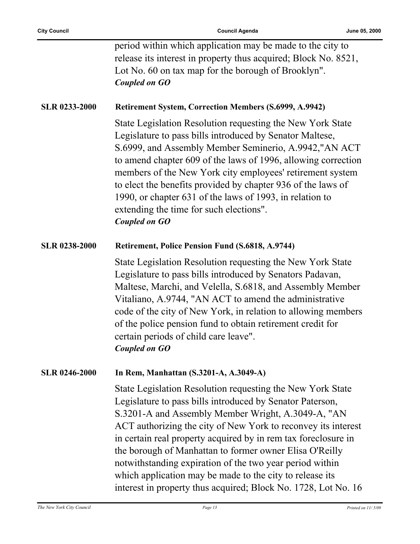period within which application may be made to the city to release its interest in property thus acquired; Block No. 8521, Lot No. 60 on tax map for the borough of Brooklyn". *Coupled on GO*

#### **SLR 0233-2000 Retirement System, Correction Members (S.6999, A.9942)**

State Legislation Resolution requesting the New York State Legislature to pass bills introduced by Senator Maltese, S.6999, and Assembly Member Seminerio, A.9942,"AN ACT to amend chapter 609 of the laws of 1996, allowing correction members of the New York city employees' retirement system to elect the benefits provided by chapter 936 of the laws of 1990, or chapter 631 of the laws of 1993, in relation to extending the time for such elections". *Coupled on GO*

#### **SLR 0238-2000 Retirement, Police Pension Fund (S.6818, A.9744)**

State Legislation Resolution requesting the New York State Legislature to pass bills introduced by Senators Padavan, Maltese, Marchi, and Velella, S.6818, and Assembly Member Vitaliano, A.9744, "AN ACT to amend the administrative code of the city of New York, in relation to allowing members of the police pension fund to obtain retirement credit for certain periods of child care leave". *Coupled on GO*

#### **SLR 0246-2000 In Rem, Manhattan (S.3201-A, A.3049-A)**

State Legislation Resolution requesting the New York State Legislature to pass bills introduced by Senator Paterson, S.3201-A and Assembly Member Wright, A.3049-A, "AN ACT authorizing the city of New York to reconvey its interest in certain real property acquired by in rem tax foreclosure in the borough of Manhattan to former owner Elisa O'Reilly notwithstanding expiration of the two year period within which application may be made to the city to release its interest in property thus acquired; Block No. 1728, Lot No. 16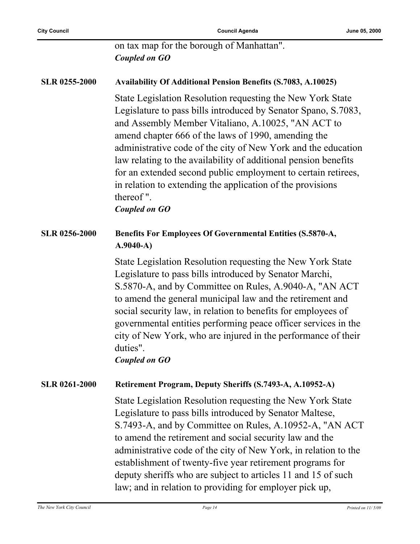on tax map for the borough of Manhattan". *Coupled on GO*

## **SLR 0255-2000 Availability Of Additional Pension Benefits (S.7083, A.10025)**

State Legislation Resolution requesting the New York State Legislature to pass bills introduced by Senator Spano, S.7083, and Assembly Member Vitaliano, A.10025, "AN ACT to amend chapter 666 of the laws of 1990, amending the administrative code of the city of New York and the education law relating to the availability of additional pension benefits for an extended second public employment to certain retirees, in relation to extending the application of the provisions thereof ".

*Coupled on GO*

#### **SLR 0256-2000 Benefits For Employees Of Governmental Entities (S.5870-A, A.9040-A)**

State Legislation Resolution requesting the New York State Legislature to pass bills introduced by Senator Marchi, S.5870-A, and by Committee on Rules, A.9040-A, "AN ACT to amend the general municipal law and the retirement and social security law, in relation to benefits for employees of governmental entities performing peace officer services in the city of New York, who are injured in the performance of their duties".

#### *Coupled on GO*

#### **SLR 0261-2000 Retirement Program, Deputy Sheriffs (S.7493-A, A.10952-A)**

State Legislation Resolution requesting the New York State Legislature to pass bills introduced by Senator Maltese, S.7493-A, and by Committee on Rules, A.10952-A, "AN ACT to amend the retirement and social security law and the administrative code of the city of New York, in relation to the establishment of twenty-five year retirement programs for deputy sheriffs who are subject to articles 11 and 15 of such law; and in relation to providing for employer pick up,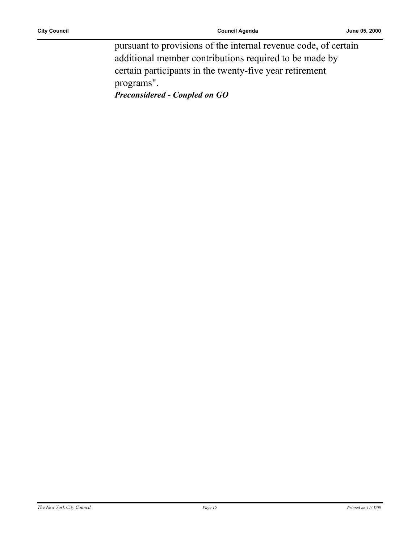pursuant to provisions of the internal revenue code, of certain additional member contributions required to be made by certain participants in the twenty-five year retirement programs".

*Preconsidered - Coupled on GO*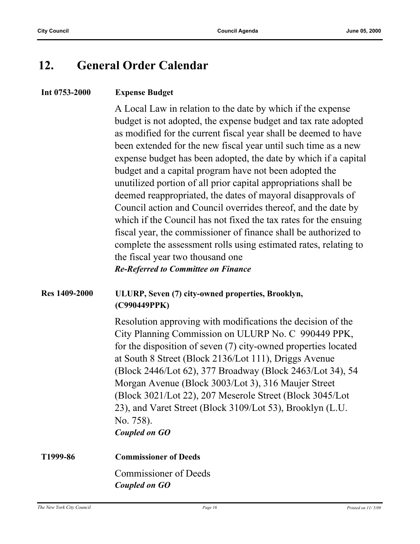### **12. General Order Calendar**

#### **Int 0753-2000 Expense Budget**

A Local Law in relation to the date by which if the expense budget is not adopted, the expense budget and tax rate adopted as modified for the current fiscal year shall be deemed to have been extended for the new fiscal year until such time as a new expense budget has been adopted, the date by which if a capital budget and a capital program have not been adopted the unutilized portion of all prior capital appropriations shall be deemed reappropriated, the dates of mayoral disapprovals of Council action and Council overrides thereof, and the date by which if the Council has not fixed the tax rates for the ensuing fiscal year, the commissioner of finance shall be authorized to complete the assessment rolls using estimated rates, relating to the fiscal year two thousand one

#### *Re-Referred to Committee on Finance*

#### **Res 1409-2000 ULURP, Seven (7) city-owned properties, Brooklyn, (C990449PPK)**

Resolution approving with modifications the decision of the City Planning Commission on ULURP No. C 990449 PPK, for the disposition of seven (7) city-owned properties located at South 8 Street (Block 2136/Lot 111), Driggs Avenue (Block 2446/Lot 62), 377 Broadway (Block 2463/Lot 34), 54 Morgan Avenue (Block 3003/Lot 3), 316 Maujer Street (Block 3021/Lot 22), 207 Meserole Street (Block 3045/Lot 23), and Varet Street (Block 3109/Lot 53), Brooklyn (L.U. No. 758). *Coupled on GO*

**T1999-86 Commissioner of Deeds** Commissioner of Deeds *Coupled on GO*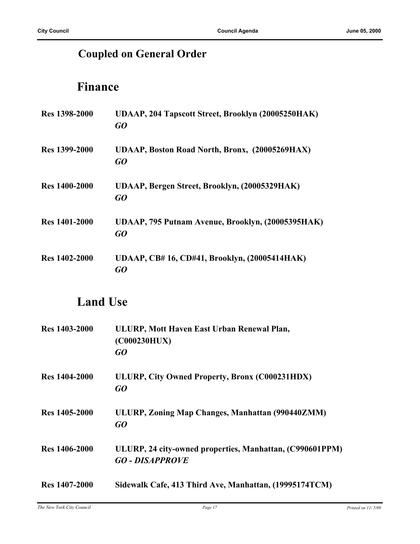### **Coupled on General Order**

### **Finance**

| Res 1398-2000        | <b>UDAAP, 204 Tapscott Street, Brooklyn (20005250HAK)</b><br>GQ |
|----------------------|-----------------------------------------------------------------|
| <b>Res</b> 1399-2000 | UDAAP, Boston Road North, Bronx, (20005269HAX)<br>GO            |
| <b>Res</b> 1400-2000 | UDAAP, Bergen Street, Brooklyn, (20005329HAK)<br>GO             |
| <b>Res</b> 1401-2000 | UDAAP, 795 Putnam Avenue, Brooklyn, (20005395HAK)<br>GO         |
| <b>Res</b> 1402-2000 | UDAAP, CB#16, CD#41, Brooklyn, (20005414HAK)<br>GO              |

### **Land Use**

| <b>Res</b> 1403-2000 | ULURP, Mott Haven East Urban Renewal Plan,<br>(C000230HUX)<br>GO                   |
|----------------------|------------------------------------------------------------------------------------|
| <b>Res</b> 1404-2000 | ULURP, City Owned Property, Bronx (C000231HDX)<br>GO                               |
| Res 1405-2000        | ULURP, Zoning Map Changes, Manhattan (990440ZMM)<br>GO                             |
| Res 1406-2000        | ULURP, 24 city-owned properties, Manhattan, (C990601PPM)<br><b>GO - DISAPPROVE</b> |
| <b>Res</b> 1407-2000 | Sidewalk Cafe, 413 Third Ave, Manhattan, (19995174TCM)                             |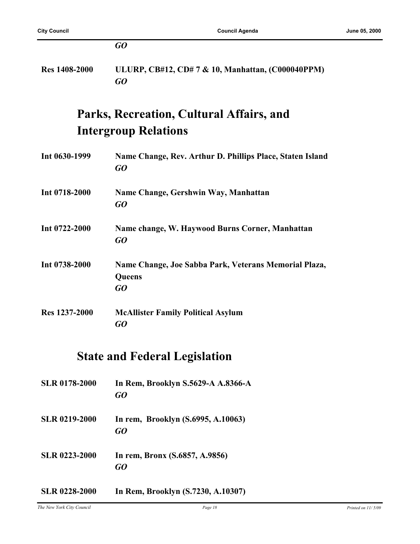|                      | GO                                                                       |
|----------------------|--------------------------------------------------------------------------|
| <b>Res 1408-2000</b> | ULURP, CB#12, CD#7 & 10, Manhattan, (C000040PPM)<br>GO                   |
|                      | Parks, Recreation, Cultural Affairs, and                                 |
|                      | <b>Intergroup Relations</b>                                              |
| Int 0630-1999        | Name Change, Rev. Arthur D. Phillips Place, Staten Island<br>GO          |
| Int 0718-2000        | Name Change, Gershwin Way, Manhattan<br>GO                               |
| Int 0722-2000        | Name change, W. Haywood Burns Corner, Manhattan<br>$G$ O                 |
| Int 0738-2000        | Name Change, Joe Sabba Park, Veterans Memorial Plaza,<br>Queens<br>$G$ O |
| Res 1237-2000        | <b>McAllister Family Political Asylum</b><br>GO                          |
|                      | $\mathbf{r}$ $\mathbf{r}$ $\mathbf{r}$<br>$\mathbf{r}$                   |

### **State and Federal Legislation**

| <b>SLR 0178-2000</b> | In Rem, Brooklyn S.5629-A A.8366-A<br>GO |
|----------------------|------------------------------------------|
| <b>SLR 0219-2000</b> | In rem, Brooklyn (S.6995, A.10063)<br>GO |
| <b>SLR 0223-2000</b> | In rem, Bronx (S.6857, A.9856)<br>GO     |
| SLR 0228-2000        | In Rem, Brooklyn (S.7230, A.10307)       |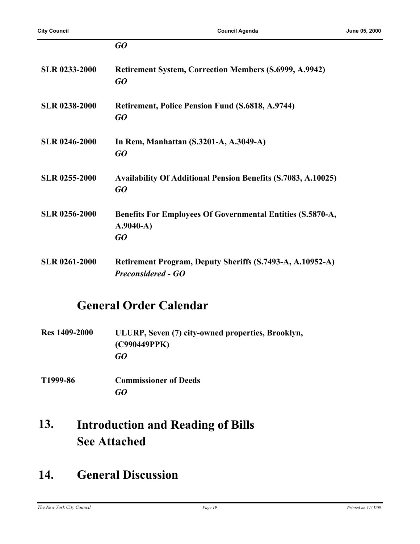|                      | GO                                                                                     |
|----------------------|----------------------------------------------------------------------------------------|
| <b>SLR 0233-2000</b> | <b>Retirement System, Correction Members (S.6999, A.9942)</b><br>GQ                    |
| <b>SLR 0238-2000</b> | <b>Retirement, Police Pension Fund (S.6818, A.9744)</b><br>GQ                          |
| <b>SLR 0246-2000</b> | In Rem, Manhattan (S.3201-A, A.3049-A)<br>GO                                           |
| <b>SLR 0255-2000</b> | <b>Availability Of Additional Pension Benefits (S.7083, A.10025)</b><br>GO             |
| <b>SLR 0256-2000</b> | Benefits For Employees Of Governmental Entities (S.5870-A,<br>$A.9040-A)$<br>GO        |
| <b>SLR 0261-2000</b> | Retirement Program, Deputy Sheriffs (S.7493-A, A.10952-A)<br><b>Preconsidered - GO</b> |

### **General Order Calendar**

| <b>Res</b> 1409-2000 | ULURP, Seven (7) city-owned properties, Brooklyn, |
|----------------------|---------------------------------------------------|
|                      | (C990449PPK)                                      |
|                      | GO                                                |

**T1999-86 Commissioner of Deeds** *GO*

#### **Introduction and Reading of Bills See Attached 13.**

### **14. General Discussion**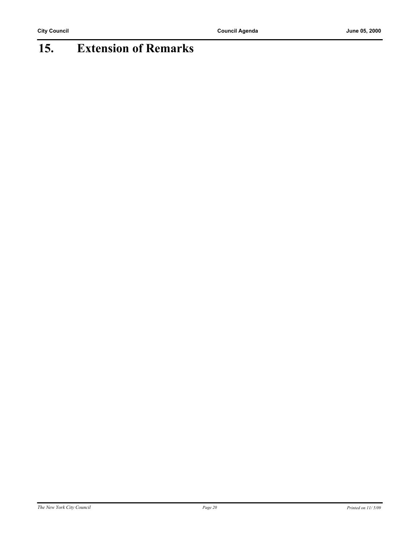## **15. Extension of Remarks**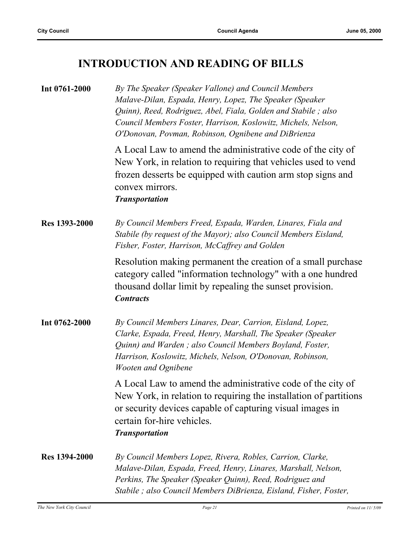### **INTRODUCTION AND READING OF BILLS**

| Int 0761-2000        | By The Speaker (Speaker Vallone) and Council Members<br>Malave-Dilan, Espada, Henry, Lopez, The Speaker (Speaker<br>Quinn), Reed, Rodriguez, Abel, Fiala, Golden and Stabile; also<br>Council Members Foster, Harrison, Koslowitz, Michels, Nelson,<br>O'Donovan, Povman, Robinson, Ognibene and DiBrienza |
|----------------------|------------------------------------------------------------------------------------------------------------------------------------------------------------------------------------------------------------------------------------------------------------------------------------------------------------|
|                      | A Local Law to amend the administrative code of the city of<br>New York, in relation to requiring that vehicles used to vend<br>frozen desserts be equipped with caution arm stop signs and<br>convex mirrors.<br><b>Transportation</b>                                                                    |
| <b>Res 1393-2000</b> | By Council Members Freed, Espada, Warden, Linares, Fiala and<br>Stabile (by request of the Mayor); also Council Members Eisland,<br>Fisher, Foster, Harrison, McCaffrey and Golden                                                                                                                         |
|                      | Resolution making permanent the creation of a small purchase<br>category called "information technology" with a one hundred<br>thousand dollar limit by repealing the sunset provision.<br><b>Contracts</b>                                                                                                |
| Int 0762-2000        | By Council Members Linares, Dear, Carrion, Eisland, Lopez,<br>Clarke, Espada, Freed, Henry, Marshall, The Speaker (Speaker<br>Quinn) and Warden; also Council Members Boyland, Foster,<br>Harrison, Koslowitz, Michels, Nelson, O'Donovan, Robinson,<br><b>Wooten and Ognibene</b>                         |
|                      | A Local Law to amend the administrative code of the city of<br>New York, in relation to requiring the installation of partitions<br>or security devices capable of capturing visual images in<br>certain for-hire vehicles.<br><b>Transportation</b>                                                       |
| <b>Res</b> 1394-2000 | By Council Members Lopez, Rivera, Robles, Carrion, Clarke,<br>Malave-Dilan, Espada, Freed, Henry, Linares, Marshall, Nelson,<br>Perkins, The Speaker (Speaker Quinn), Reed, Rodriguez and<br>Stabile; also Council Members DiBrienza, Eisland, Fisher, Foster,                                             |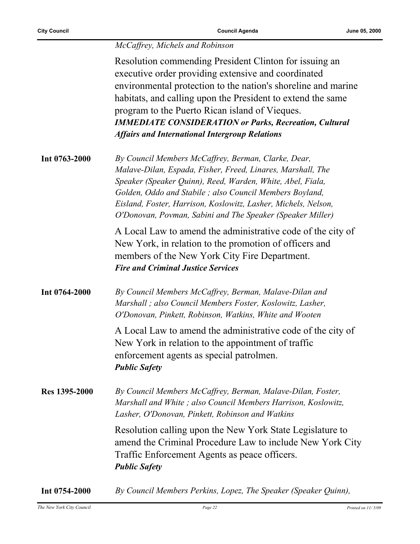#### *McCaffrey, Michels and Robinson*

Resolution commending President Clinton for issuing an executive order providing extensive and coordinated environmental protection to the nation's shoreline and marine habitats, and calling upon the President to extend the same program to the Puerto Rican island of Vieques. *IMMEDIATE CONSIDERATION or Parks, Recreation, Cultural Affairs and International Intergroup Relations*

| Int 0763-2000 | By Council Members McCaffrey, Berman, Clarke, Dear,            |
|---------------|----------------------------------------------------------------|
|               | Malave-Dilan, Espada, Fisher, Freed, Linares, Marshall, The    |
|               | Speaker (Speaker Quinn), Reed, Warden, White, Abel, Fiala,     |
|               | Golden, Oddo and Stabile; also Council Members Boyland,        |
|               | Eisland, Foster, Harrison, Koslowitz, Lasher, Michels, Nelson, |
|               | O'Donovan, Povman, Sabini and The Speaker (Speaker Miller)     |
|               |                                                                |

A Local Law to amend the administrative code of the city of New York, in relation to the promotion of officers and members of the New York City Fire Department. *Fire and Criminal Justice Services*

**Int 0764-2000** *By Council Members McCaffrey, Berman, Malave-Dilan and Marshall ; also Council Members Foster, Koslowitz, Lasher, O'Donovan, Pinkett, Robinson, Watkins, White and Wooten*

> A Local Law to amend the administrative code of the city of New York in relation to the appointment of traffic enforcement agents as special patrolmen. *Public Safety*

**Res 1395-2000** *By Council Members McCaffrey, Berman, Malave-Dilan, Foster, Marshall and White ; also Council Members Harrison, Koslowitz, Lasher, O'Donovan, Pinkett, Robinson and Watkins*

> Resolution calling upon the New York State Legislature to amend the Criminal Procedure Law to include New York City Traffic Enforcement Agents as peace officers. *Public Safety*

**Int 0754-2000** *By Council Members Perkins, Lopez, The Speaker (Speaker Quinn),*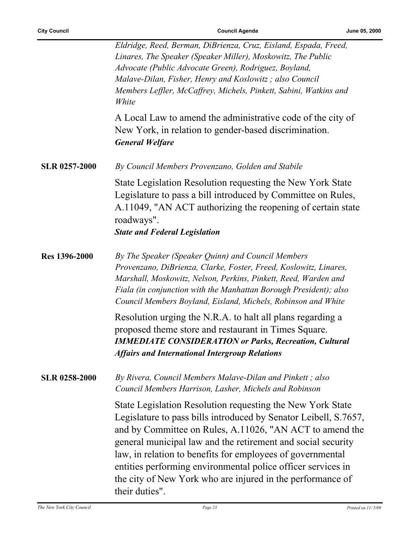÷,

|                      | Eldridge, Reed, Berman, DiBrienza, Cruz, Eisland, Espada, Freed,<br>Linares, The Speaker (Speaker Miller), Moskowitz, The Public<br>Advocate (Public Advocate Green), Rodriguez, Boyland,<br>Malave-Dilan, Fisher, Henry and Koslowitz; also Council<br>Members Leffler, McCaffrey, Michels, Pinkett, Sabini, Watkins and<br>White                                                                                                                                       |
|----------------------|--------------------------------------------------------------------------------------------------------------------------------------------------------------------------------------------------------------------------------------------------------------------------------------------------------------------------------------------------------------------------------------------------------------------------------------------------------------------------|
|                      | A Local Law to amend the administrative code of the city of<br>New York, in relation to gender-based discrimination.<br><b>General Welfare</b>                                                                                                                                                                                                                                                                                                                           |
| <b>SLR 0257-2000</b> | By Council Members Provenzano, Golden and Stabile                                                                                                                                                                                                                                                                                                                                                                                                                        |
|                      | State Legislation Resolution requesting the New York State<br>Legislature to pass a bill introduced by Committee on Rules,<br>A.11049, "AN ACT authorizing the reopening of certain state<br>roadways".<br><b>State and Federal Legislation</b>                                                                                                                                                                                                                          |
| Res 1396-2000        | By The Speaker (Speaker Quinn) and Council Members<br>Provenzano, DiBrienza, Clarke, Foster, Freed, Koslowitz, Linares,<br>Marshall, Moskowitz, Nelson, Perkins, Pinkett, Reed, Warden and<br>Fiala (in conjunction with the Manhattan Borough President); also<br>Council Members Boyland, Eisland, Michels, Robinson and White                                                                                                                                         |
|                      | Resolution urging the N.R.A. to halt all plans regarding a<br>proposed theme store and restaurant in Times Square.<br><b>IMMEDIATE CONSIDERATION or Parks, Recreation, Cultural</b><br><b>Affairs and International Intergroup Relations</b>                                                                                                                                                                                                                             |
| <b>SLR 0258-2000</b> | By Rivera, Council Members Malave-Dilan and Pinkett; also<br>Council Members Harrison, Lasher, Michels and Robinson                                                                                                                                                                                                                                                                                                                                                      |
|                      | State Legislation Resolution requesting the New York State<br>Legislature to pass bills introduced by Senator Leibell, S.7657,<br>and by Committee on Rules, A.11026, "AN ACT to amend the<br>general municipal law and the retirement and social security<br>law, in relation to benefits for employees of governmental<br>entities performing environmental police officer services in<br>the city of New York who are injured in the performance of<br>their duties". |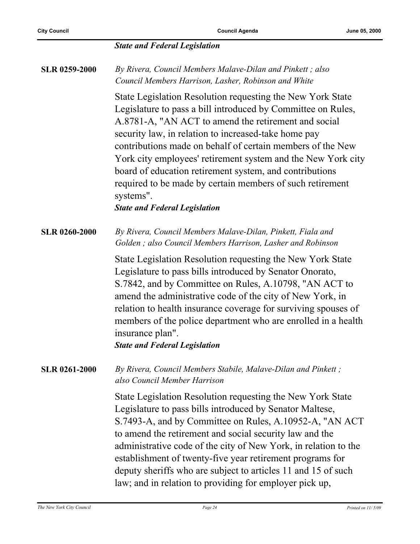#### *State and Federal Legislation*

| <b>SLR 0259-2000</b> | By Rivera, Council Members Malave-Dilan and Pinkett; also<br>Council Members Harrison, Lasher, Robinson and White<br>State Legislation Resolution requesting the New York State<br>Legislature to pass a bill introduced by Committee on Rules,<br>A.8781-A, "AN ACT to amend the retirement and social<br>security law, in relation to increased-take home pay<br>contributions made on behalf of certain members of the New<br>York city employees' retirement system and the New York city<br>board of education retirement system, and contributions<br>required to be made by certain members of such retirement<br>systems".<br><b>State and Federal Legislation</b> |
|----------------------|----------------------------------------------------------------------------------------------------------------------------------------------------------------------------------------------------------------------------------------------------------------------------------------------------------------------------------------------------------------------------------------------------------------------------------------------------------------------------------------------------------------------------------------------------------------------------------------------------------------------------------------------------------------------------|
| <b>SLR 0260-2000</b> | By Rivera, Council Members Malave-Dilan, Pinkett, Fiala and<br>Golden; also Council Members Harrison, Lasher and Robinson<br>State Legislation Resolution requesting the New York State<br>Legislature to pass bills introduced by Senator Onorato,<br>S.7842, and by Committee on Rules, A.10798, "AN ACT to<br>amend the administrative code of the city of New York, in<br>relation to health insurance coverage for surviving spouses of<br>members of the police department who are enrolled in a health<br>insurance plan".<br><b>State and Federal Legislation</b>                                                                                                  |
| <b>SLR 0261-2000</b> | By Rivera, Council Members Stabile, Malave-Dilan and Pinkett;<br>also Council Member Harrison<br>State Legislation Resolution requesting the New York State<br>Legislature to pass bills introduced by Senator Maltese,<br>S.7493-A, and by Committee on Rules, A.10952-A, "AN ACT<br>to amend the retirement and social security law and the<br>administrative code of the city of New York, in relation to the<br>establishment of twenty-five year retirement programs for<br>deputy sheriffs who are subject to articles 11 and 15 of such<br>law; and in relation to providing for employer pick up,                                                                  |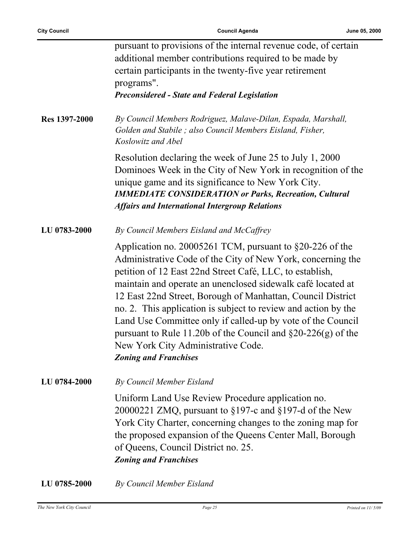|                      | pursuant to provisions of the internal revenue code, of certain<br>additional member contributions required to be made by<br>certain participants in the twenty-five year retirement<br>programs".<br><b>Preconsidered - State and Federal Legislation</b>                                                                                                                                                                                                                                                                                                                                     |
|----------------------|------------------------------------------------------------------------------------------------------------------------------------------------------------------------------------------------------------------------------------------------------------------------------------------------------------------------------------------------------------------------------------------------------------------------------------------------------------------------------------------------------------------------------------------------------------------------------------------------|
| <b>Res 1397-2000</b> | By Council Members Rodriguez, Malave-Dilan, Espada, Marshall,<br>Golden and Stabile; also Council Members Eisland, Fisher,<br>Koslowitz and Abel                                                                                                                                                                                                                                                                                                                                                                                                                                               |
|                      | Resolution declaring the week of June 25 to July 1, 2000<br>Dominoes Week in the City of New York in recognition of the<br>unique game and its significance to New York City.<br><b>IMMEDIATE CONSIDERATION or Parks, Recreation, Cultural</b><br><b>Affairs and International Intergroup Relations</b>                                                                                                                                                                                                                                                                                        |
| <b>LU 0783-2000</b>  | By Council Members Eisland and McCaffrey                                                                                                                                                                                                                                                                                                                                                                                                                                                                                                                                                       |
|                      | Application no. 20005261 TCM, pursuant to $\S20-226$ of the<br>Administrative Code of the City of New York, concerning the<br>petition of 12 East 22nd Street Café, LLC, to establish,<br>maintain and operate an unenclosed sidewalk café located at<br>12 East 22nd Street, Borough of Manhattan, Council District<br>no. 2. This application is subject to review and action by the<br>Land Use Committee only if called-up by vote of the Council<br>pursuant to Rule 11.20b of the Council and $\S20-226(g)$ of the<br>New York City Administrative Code.<br><b>Zoning and Franchises</b> |
| <b>LU 0784-2000</b>  | By Council Member Eisland                                                                                                                                                                                                                                                                                                                                                                                                                                                                                                                                                                      |
|                      | Uniform Land Use Review Procedure application no.<br>20000221 ZMQ, pursuant to $\S 197$ -c and $\S 197$ -d of the New<br>York City Charter, concerning changes to the zoning map for<br>the proposed expansion of the Queens Center Mall, Borough<br>of Queens, Council District no. 25.<br><b>Zoning and Franchises</b>                                                                                                                                                                                                                                                                       |
|                      |                                                                                                                                                                                                                                                                                                                                                                                                                                                                                                                                                                                                |

**LU 0785-2000** *By Council Member Eisland*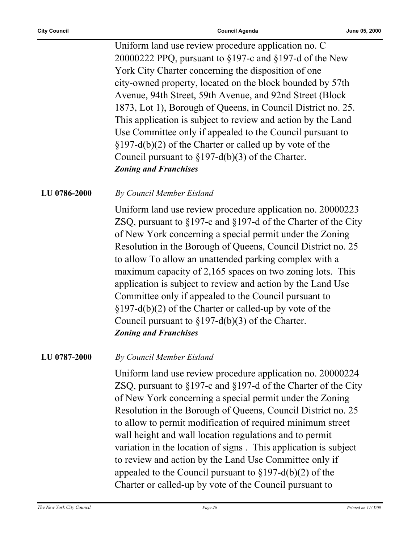Uniform land use review procedure application no. C 20000222 PPQ, pursuant to §197-c and §197-d of the New York City Charter concerning the disposition of one city-owned property, located on the block bounded by 57th Avenue, 94th Street, 59th Avenue, and 92nd Street (Block 1873, Lot 1), Borough of Queens, in Council District no. 25. This application is subject to review and action by the Land Use Committee only if appealed to the Council pursuant to §197-d(b)(2) of the Charter or called up by vote of the Council pursuant to §197-d(b)(3) of the Charter. *Zoning and Franchises*

#### **LU 0786-2000** *By Council Member Eisland*

Uniform land use review procedure application no. 20000223 ZSQ, pursuant to §197-c and §197-d of the Charter of the City of New York concerning a special permit under the Zoning Resolution in the Borough of Queens, Council District no. 25 to allow To allow an unattended parking complex with a maximum capacity of 2,165 spaces on two zoning lots. This application is subject to review and action by the Land Use Committee only if appealed to the Council pursuant to §197-d(b)(2) of the Charter or called-up by vote of the Council pursuant to  $\S 197-d(b)(3)$  of the Charter. *Zoning and Franchises*

**LU 0787-2000** *By Council Member Eisland*

Uniform land use review procedure application no. 20000224 ZSQ, pursuant to §197-c and §197-d of the Charter of the City of New York concerning a special permit under the Zoning Resolution in the Borough of Queens, Council District no. 25 to allow to permit modification of required minimum street wall height and wall location regulations and to permit variation in the location of signs . This application is subject to review and action by the Land Use Committee only if appealed to the Council pursuant to  $\S 197-d(b)(2)$  of the Charter or called-up by vote of the Council pursuant to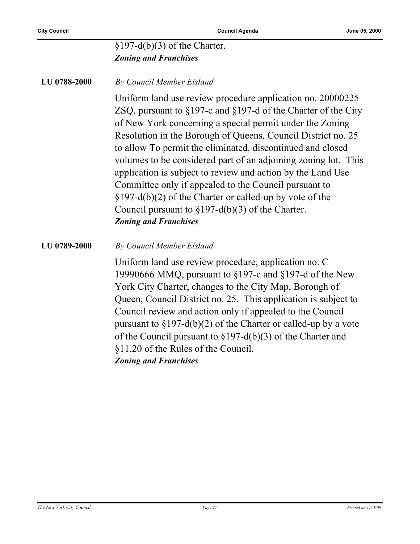#### $$197-d(b)(3)$  of the Charter. *Zoning and Franchises*

#### **LU 0788-2000** *By Council Member Eisland*

Uniform land use review procedure application no. 20000225 ZSQ, pursuant to §197-c and §197-d of the Charter of the City of New York concerning a special permit under the Zoning Resolution in the Borough of Queens, Council District no. 25 to allow To permit the eliminated. discontinued and closed volumes to be considered part of an adjoining zoning lot. This application is subject to review and action by the Land Use Committee only if appealed to the Council pursuant to §197-d(b)(2) of the Charter or called-up by vote of the Council pursuant to §197-d(b)(3) of the Charter. *Zoning and Franchises*

#### **LU 0789-2000** *By Council Member Eisland*

Uniform land use review procedure, application no. C 19990666 MMQ, pursuant to §197-c and §197-d of the New York City Charter, changes to the City Map, Borough of Queen, Council District no. 25. This application is subject to Council review and action only if appealed to the Council pursuant to  $\S 197-d(b)(2)$  of the Charter or called-up by a vote of the Council pursuant to §197-d(b)(3) of the Charter and §11.20 of the Rules of the Council. *Zoning and Franchises*